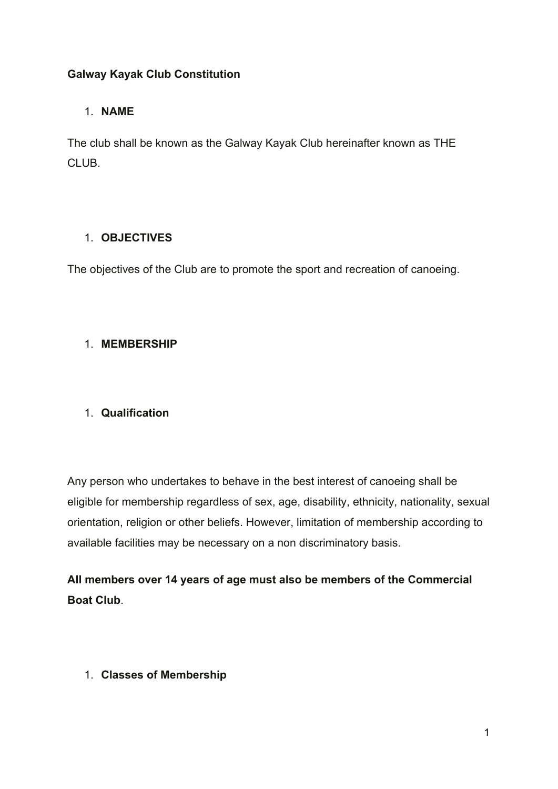## **Galway Kayak Club Constitution**

## 1. **NAME**

The club shall be known as the Galway Kayak Club hereinafter known as THE CLUB.

## 1. **OBJECTIVES**

The objectives of the Club are to promote the sport and recreation of canoeing.

## 1. **MEMBERSHIP**

## 1. **Qualification**

Any person who undertakes to behave in the best interest of canoeing shall be eligible for membership regardless of sex, age, disability, ethnicity, nationality, sexual orientation, religion or other beliefs. However, limitation of membership according to available facilities may be necessary on a non discriminatory basis.

**All members over 14 years of age must also be members of the Commercial Boat Club**.

1. **Classes of Membership**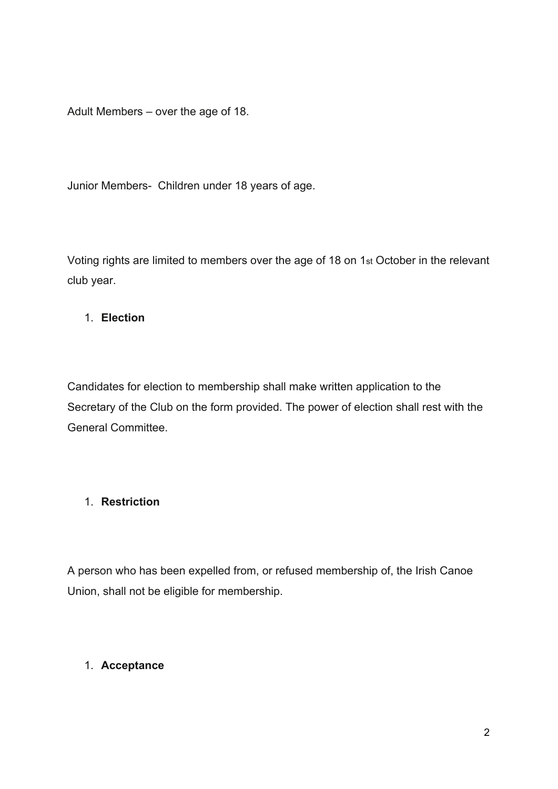Adult Members – over the age of 18.

Junior Members- Children under 18 years of age.

Voting rights are limited to members over the age of 18 on 1st October in the relevant club year.

#### 1. **Election**

Candidates for election to membership shall make written application to the Secretary of the Club on the form provided. The power of election shall rest with the General Committee.

## 1. **Restriction**

A person who has been expelled from, or refused membership of, the Irish Canoe Union, shall not be eligible for membership.

#### 1. **Acceptance**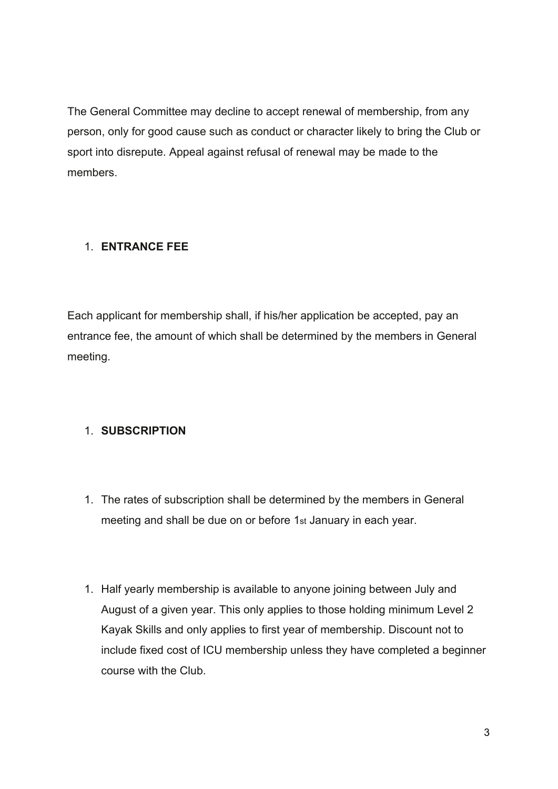The General Committee may decline to accept renewal of membership, from any person, only for good cause such as conduct or character likely to bring the Club or sport into disrepute. Appeal against refusal of renewal may be made to the members.

## 1. **ENTRANCE FEE**

Each applicant for membership shall, if his/her application be accepted, pay an entrance fee, the amount of which shall be determined by the members in General meeting.

## 1. **SUBSCRIPTION**

- 1. The rates of subscription shall be determined by the members in General meeting and shall be due on or before 1st January in each year.
- 1. Half yearly membership is available to anyone joining between July and August of a given year. This only applies to those holding minimum Level 2 Kayak Skills and only applies to first year of membership. Discount not to include fixed cost of ICU membership unless they have completed a beginner course with the Club.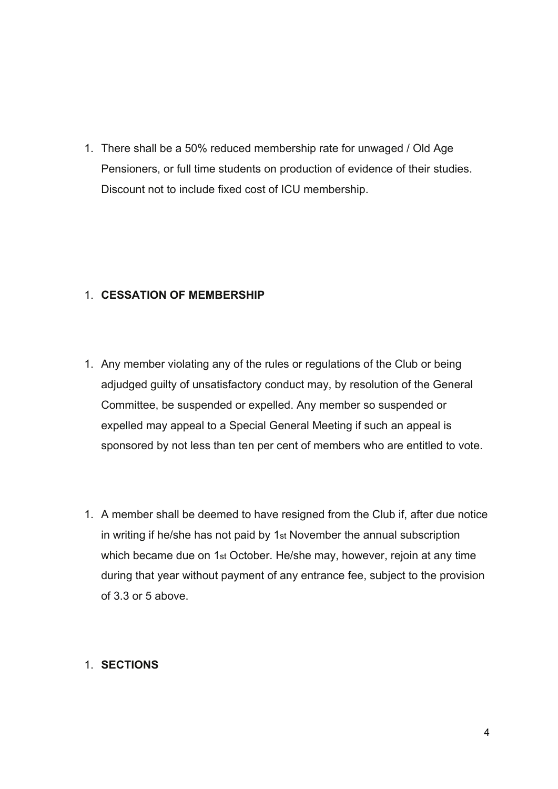1. There shall be a 50% reduced membership rate for unwaged / Old Age Pensioners, or full time students on production of evidence of their studies. Discount not to include fixed cost of ICU membership.

#### 1. **CESSATION OF MEMBERSHIP**

- 1. Any member violating any of the rules or regulations of the Club or being adjudged guilty of unsatisfactory conduct may, by resolution of the General Committee, be suspended or expelled. Any member so suspended or expelled may appeal to a Special General Meeting if such an appeal is sponsored by not less than ten per cent of members who are entitled to vote.
- 1. A member shall be deemed to have resigned from the Club if, after due notice in writing if he/she has not paid by 1st November the annual subscription which became due on 1st October. He/she may, however, rejoin at any time during that year without payment of any entrance fee, subject to the provision of 3.3 or 5 above.

#### 1. **SECTIONS**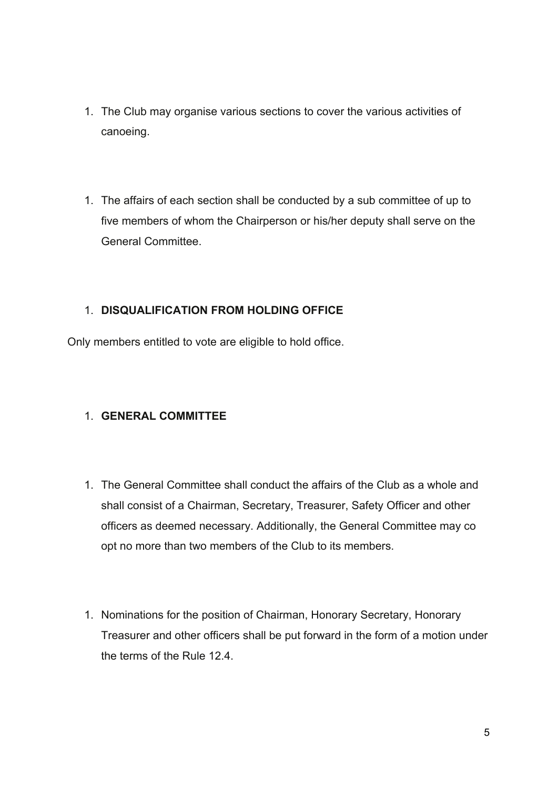- 1. The Club may organise various sections to cover the various activities of canoeing.
- 1. The affairs of each section shall be conducted by a sub committee of up to five members of whom the Chairperson or his/her deputy shall serve on the General Committee.

## 1. **DISQUALIFICATION FROM HOLDING OFFICE**

Only members entitled to vote are eligible to hold office.

## 1. **GENERAL COMMITTEE**

- 1. The General Committee shall conduct the affairs of the Club as a whole and shall consist of a Chairman, Secretary, Treasurer, Safety Officer and other officers as deemed necessary. Additionally, the General Committee may co opt no more than two members of the Club to its members.
- 1. Nominations for the position of Chairman, Honorary Secretary, Honorary Treasurer and other officers shall be put forward in the form of a motion under the terms of the Rule 12.4.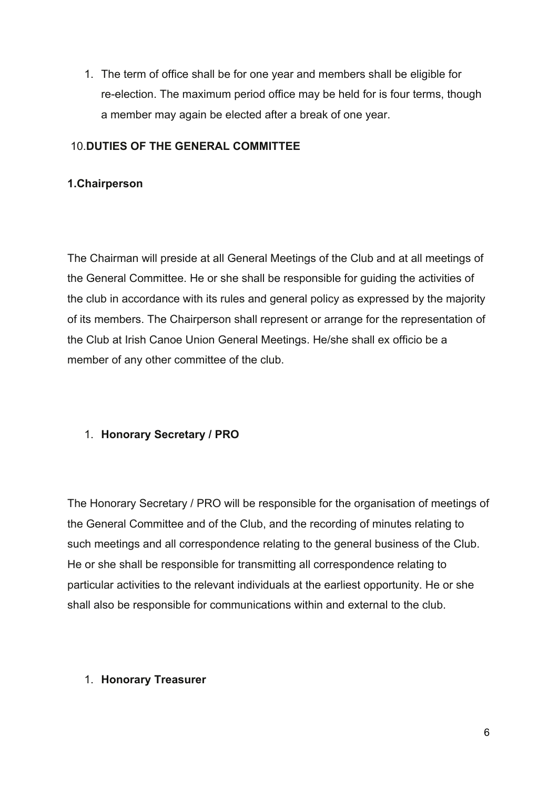1. The term of office shall be for one year and members shall be eligible for re-election. The maximum period office may be held for is four terms, though a member may again be elected after a break of one year.

#### 10.**DUTIES OF THE GENERAL COMMITTEE**

#### **1.Chairperson**

The Chairman will preside at all General Meetings of the Club and at all meetings of the General Committee. He or she shall be responsible for guiding the activities of the club in accordance with its rules and general policy as expressed by the majority of its members. The Chairperson shall represent or arrange for the representation of the Club at Irish Canoe Union General Meetings. He/she shall ex officio be a member of any other committee of the club.

## 1. **Honorary Secretary / PRO**

The Honorary Secretary / PRO will be responsible for the organisation of meetings of the General Committee and of the Club, and the recording of minutes relating to such meetings and all correspondence relating to the general business of the Club. He or she shall be responsible for transmitting all correspondence relating to particular activities to the relevant individuals at the earliest opportunity. He or she shall also be responsible for communications within and external to the club.

#### 1. **Honorary Treasurer**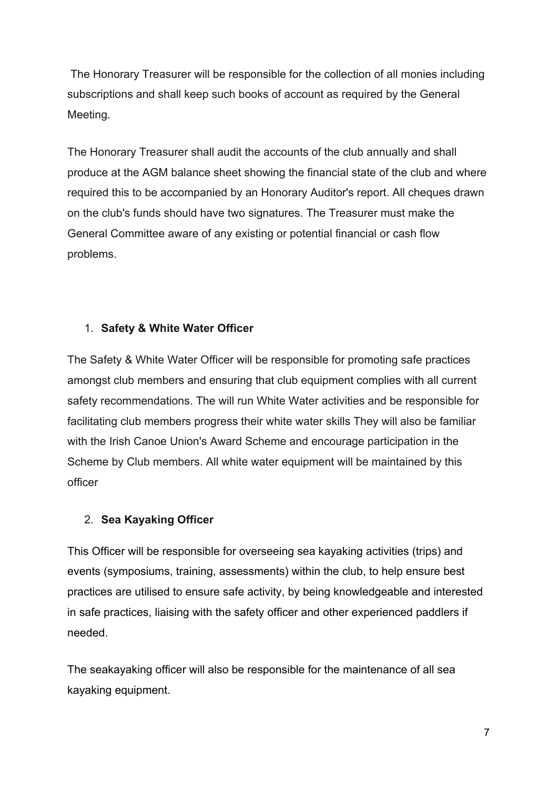The Honorary Treasurer will be responsible for the collection of all monies including subscriptions and shall keep such books of account as required by the General Meeting.

The Honorary Treasurer shall audit the accounts of the club annually and shall produce at the AGM balance sheet showing the financial state of the club and where required this to be accompanied by an Honorary Auditor's report. All cheques drawn on the club's funds should have two signatures. The Treasurer must make the General Committee aware of any existing or potential financial or cash flow problems.

## 1. **Safety & White Water Officer**

The Safety & White Water Officer will be responsible for promoting safe practices amongst club members and ensuring that club equipment complies with all current safety recommendations. The will run White Water activities and be responsible for facilitating club members progress their white water skills They will also be familiar with the Irish Canoe Union's Award Scheme and encourage participation in the Scheme by Club members. All white water equipment will be maintained by this officer

## 2. **Sea Kayaking Officer**

This Officer will be responsible for overseeing sea kayaking activities (trips) and events (symposiums, training, assessments) within the club, to help ensure best practices are utilised to ensure safe activity, by being knowledgeable and interested in safe practices, liaising with the safety officer and other experienced paddlers if needed.

The seakayaking officer will also be responsible for the maintenance of all sea kayaking equipment.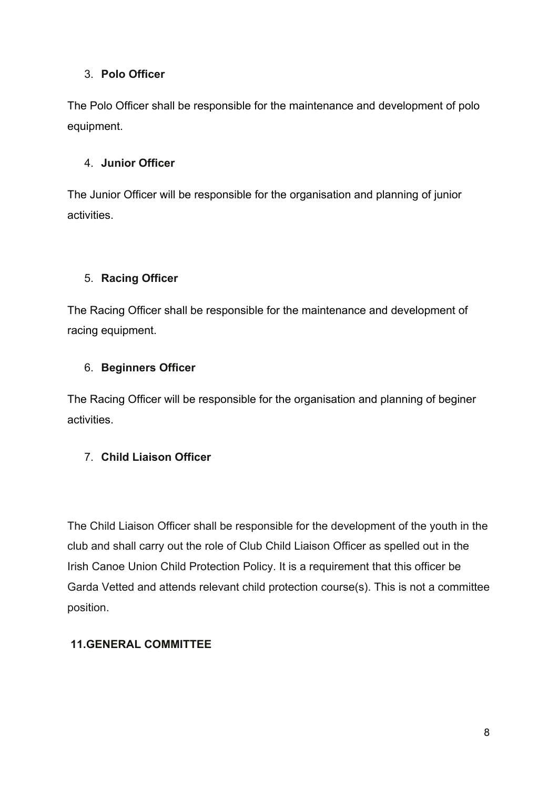## 3. **Polo Officer**

The Polo Officer shall be responsible for the maintenance and development of polo equipment.

## 4. **Junior Officer**

The Junior Officer will be responsible for the organisation and planning of junior activities.

# 5. **Racing Officer**

The Racing Officer shall be responsible for the maintenance and development of racing equipment.

## 6. **Beginners Officer**

The Racing Officer will be responsible for the organisation and planning of beginer activities.

# 7. **Child Liaison Officer**

The Child Liaison Officer shall be responsible for the development of the youth in the club and shall carry out the role of Club Child Liaison Officer as spelled out in the Irish Canoe Union Child Protection Policy. It is a requirement that this officer be Garda Vetted and attends relevant child protection course(s). This is not a committee position.

# **11.GENERAL COMMITTEE**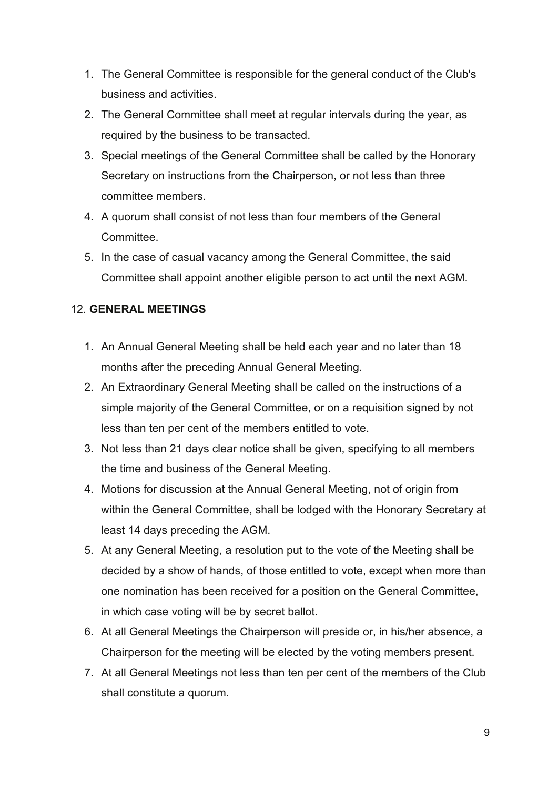- 1. The General Committee is responsible for the general conduct of the Club's business and activities.
- 2. The General Committee shall meet at regular intervals during the year, as required by the business to be transacted.
- 3. Special meetings of the General Committee shall be called by the Honorary Secretary on instructions from the Chairperson, or not less than three committee members.
- 4. A quorum shall consist of not less than four members of the General **Committee.**
- 5. In the case of casual vacancy among the General Committee, the said Committee shall appoint another eligible person to act until the next AGM.

# 12. **GENERAL MEETINGS**

- 1. An Annual General Meeting shall be held each year and no later than 18 months after the preceding Annual General Meeting.
- 2. An Extraordinary General Meeting shall be called on the instructions of a simple majority of the General Committee, or on a requisition signed by not less than ten per cent of the members entitled to vote.
- 3. Not less than 21 days clear notice shall be given, specifying to all members the time and business of the General Meeting.
- 4. Motions for discussion at the Annual General Meeting, not of origin from within the General Committee, shall be lodged with the Honorary Secretary at least 14 days preceding the AGM.
- 5. At any General Meeting, a resolution put to the vote of the Meeting shall be decided by a show of hands, of those entitled to vote, except when more than one nomination has been received for a position on the General Committee, in which case voting will be by secret ballot.
- 6. At all General Meetings the Chairperson will preside or, in his/her absence, a Chairperson for the meeting will be elected by the voting members present.
- 7. At all General Meetings not less than ten per cent of the members of the Club shall constitute a quorum.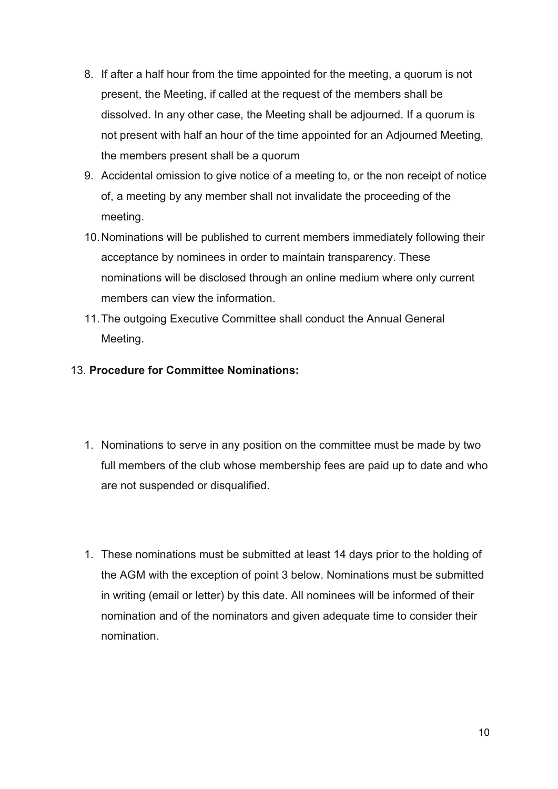- 8. If after a half hour from the time appointed for the meeting, a quorum is not present, the Meeting, if called at the request of the members shall be dissolved. In any other case, the Meeting shall be adjourned. If a quorum is not present with half an hour of the time appointed for an Adjourned Meeting, the members present shall be a quorum
- 9. Accidental omission to give notice of a meeting to, or the non receipt of notice of, a meeting by any member shall not invalidate the proceeding of the meeting.
- 10.Nominations will be published to current members immediately following their acceptance by nominees in order to maintain transparency. These nominations will be disclosed through an online medium where only current members can view the information.
- 11.The outgoing Executive Committee shall conduct the Annual General Meeting.

## 13. **Procedure for Committee Nominations:**

- 1. Nominations to serve in any position on the committee must be made by two full members of the club whose membership fees are paid up to date and who are not suspended or disqualified.
- 1. These nominations must be submitted at least 14 days prior to the holding of the AGM with the exception of point 3 below. Nominations must be submitted in writing (email or letter) by this date. All nominees will be informed of their nomination and of the nominators and given adequate time to consider their nomination.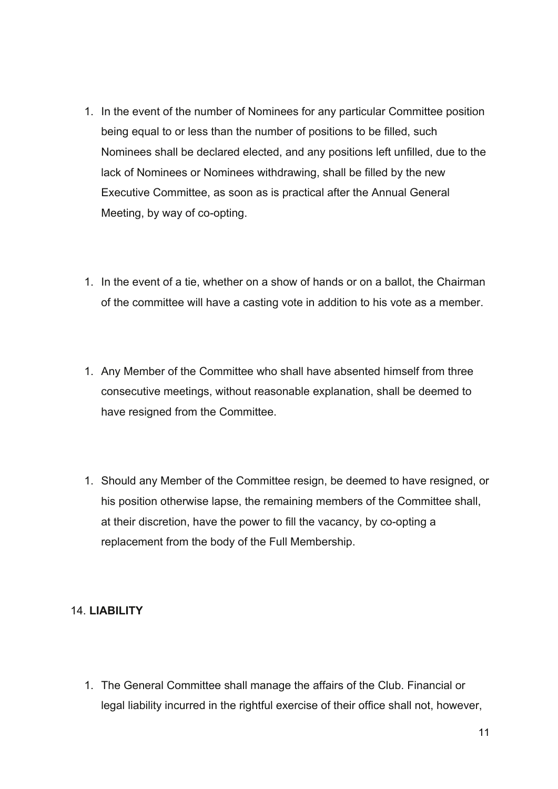- 1. In the event of the number of Nominees for any particular Committee position being equal to or less than the number of positions to be filled, such Nominees shall be declared elected, and any positions left unfilled, due to the lack of Nominees or Nominees withdrawing, shall be filled by the new Executive Committee, as soon as is practical after the Annual General Meeting, by way of co-opting.
- 1. In the event of a tie, whether on a show of hands or on a ballot, the Chairman of the committee will have a casting vote in addition to his vote as a member.
- 1. Any Member of the Committee who shall have absented himself from three consecutive meetings, without reasonable explanation, shall be deemed to have resigned from the Committee.
- 1. Should any Member of the Committee resign, be deemed to have resigned, or his position otherwise lapse, the remaining members of the Committee shall, at their discretion, have the power to fill the vacancy, by co-opting a replacement from the body of the Full Membership.

## 14. **LIABILITY**

1. The General Committee shall manage the affairs of the Club. Financial or legal liability incurred in the rightful exercise of their office shall not, however,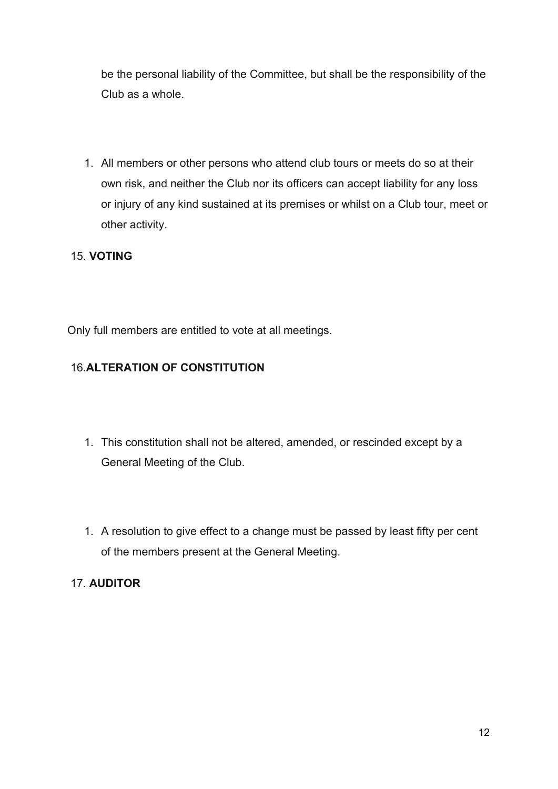be the personal liability of the Committee, but shall be the responsibility of the Club as a whole.

1. All members or other persons who attend club tours or meets do so at their own risk, and neither the Club nor its officers can accept liability for any loss or injury of any kind sustained at its premises or whilst on a Club tour, meet or other activity.

# 15. **VOTING**

Only full members are entitled to vote at all meetings.

# 16.**ALTERATION OF CONSTITUTION**

- 1. This constitution shall not be altered, amended, or rescinded except by a General Meeting of the Club.
- 1. A resolution to give effect to a change must be passed by least fifty per cent of the members present at the General Meeting.

# 17. **AUDITOR**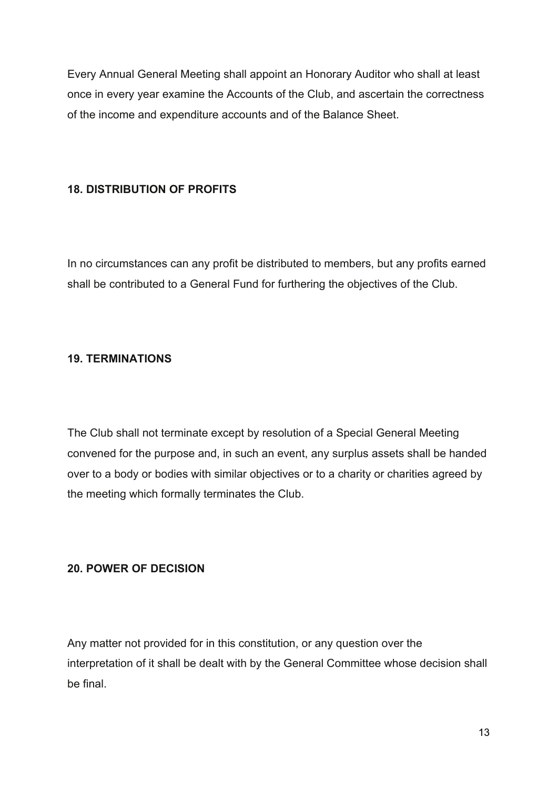Every Annual General Meeting shall appoint an Honorary Auditor who shall at least once in every year examine the Accounts of the Club, and ascertain the correctness of the income and expenditure accounts and of the Balance Sheet.

## **18. DISTRIBUTION OF PROFITS**

In no circumstances can any profit be distributed to members, but any profits earned shall be contributed to a General Fund for furthering the objectives of the Club.

## **19. TERMINATIONS**

The Club shall not terminate except by resolution of a Special General Meeting convened for the purpose and, in such an event, any surplus assets shall be handed over to a body or bodies with similar objectives or to a charity or charities agreed by the meeting which formally terminates the Club.

## **20. POWER OF DECISION**

Any matter not provided for in this constitution, or any question over the interpretation of it shall be dealt with by the General Committee whose decision shall be final.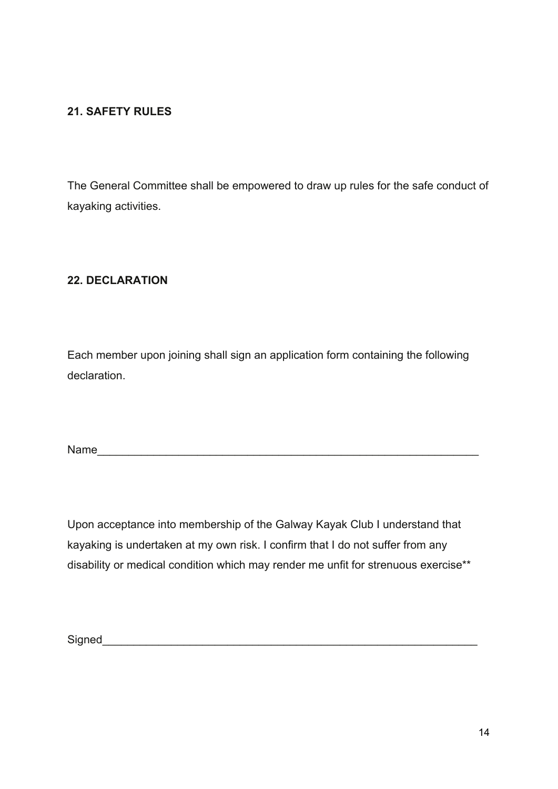## **21. SAFETY RULES**

The General Committee shall be empowered to draw up rules for the safe conduct of kayaking activities.

## **22. DECLARATION**

Each member upon joining shall sign an application form containing the following declaration.

Name\_\_\_\_\_\_\_\_\_\_\_\_\_\_\_\_\_\_\_\_\_\_\_\_\_\_\_\_\_\_\_\_\_\_\_\_\_\_\_\_\_\_\_\_\_\_\_\_\_\_\_\_\_\_\_\_\_\_\_\_\_

Upon acceptance into membership of the Galway Kayak Club I understand that kayaking is undertaken at my own risk. I confirm that I do not suffer from any disability or medical condition which may render me unfit for strenuous exercise\*\*

Signed and the state of the state of the state of the state of the state of the state of the state of the state of the state of the state of the state of the state of the state of the state of the state of the state of the